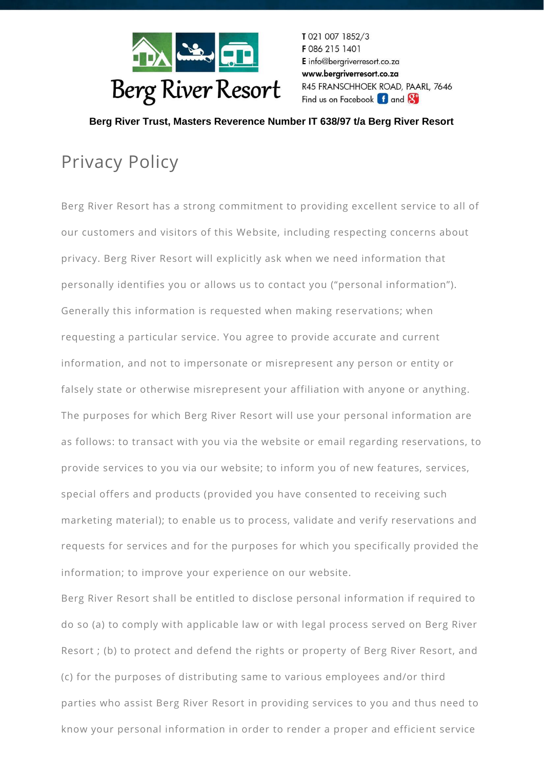

T 021 007 1852/3 F086 215 1401 E info@bergriverresort.co.za www.bergriverresort.co.za R45 FRANSCHHOEK ROAD, PAARL, 7646 Find us on Facebook f and 8

 **Berg River Trust, Masters Reverence Number IT 638/97 t/a Berg River Resort**

## Privacy Policy

Berg River Resort has a strong commitment to providing excellent service to all of our customers and visitors of this Website, including respecting concerns about privacy. Berg River Resort will explicitly ask when we need information that personally identifies you or allows us to contact you ("personal information"). Generally this information is requested when making reservations; when requesting a particular service. You agree to provide accurate and current information, and not to impersonate or misrepresent any person or entity or falsely state or otherwise misrepresent your affiliation with anyone or anything. The purposes for which Berg River Resort will use your personal information are as follows: to transact with you via the website or email regarding reservations, to provide services to you via our website; to inform you of new features, services, special offers and products (provided you have consented to receiving such marketing material); to enable us to process, validate and verify reservations and requests for services and for the purposes for which you specifically provided the information; to improve your experience on our website.

Berg River Resort shall be entitled to disclose personal information if required to do so (a) to comply with applicable law or with legal process served on Berg River Resort ; (b) to protect and defend the rights or property of Berg River Resort, and (c) for the purposes of distributing same to various employees and/or third parties who assist Berg River Resort in providing services to you and thus need to know your personal information in order to render a proper and efficient service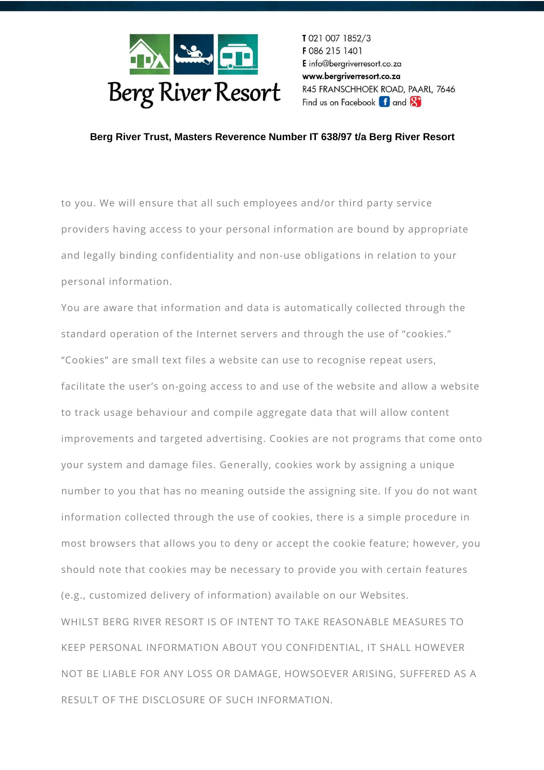

T 021 007 1852/3 F 086 215 1401 E info@bergriverresort.co.za www.bergriverresort.co.za R45 FRANSCHHOEK ROAD, PAARL, 7646 Find us on Facebook **f** and **8** 

## **Berg River Trust, Masters Reverence Number IT 638/97 t/a Berg River Resort**

to you. We will ensure that all such employees and/or third party service providers having access to your personal information are bound by appropriate and legally binding confidentiality and non-use obligations in relation to your personal information.

You are aware that information and data is automatically collected through the standard operation of the Internet servers and through the use of "cookies." "Cookies" are small text files a website can use to recognise repeat users, facilitate the user's on-going access to and use of the website and allow a website to track usage behaviour and compile aggregate data that will allow content improvements and targeted advertising. Cookies are not programs that come onto your system and damage files. Generally, cookies work by assigning a unique number to you that has no meaning outside the assigning site. If you do not want information collected through the use of cookies, there is a simple procedure in most browsers that allows you to deny or accept the cookie feature; however, you should note that cookies may be necessary to provide you with certain features (e.g., customized delivery of information) available on our Websites. WHILST BERG RIVER RESORT IS OF INTENT TO TAKE REASONABLE MEASURES TO KEEP PERSONAL INFORMATION ABOUT YOU CONFIDENTIAL, IT SHALL HOWEVER NOT BE LIABLE FOR ANY LOSS OR DAMAGE, HOWSOEVER ARISING, SUFFERED AS A RESULT OF THE DISCLOSURE OF SUCH INFORMATION.